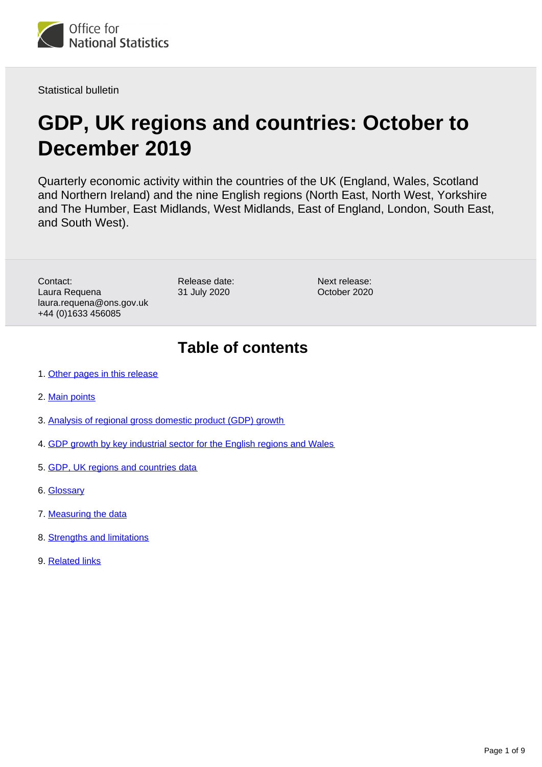

Statistical bulletin

# **GDP, UK regions and countries: October to December 2019**

Quarterly economic activity within the countries of the UK (England, Wales, Scotland and Northern Ireland) and the nine English regions (North East, North West, Yorkshire and The Humber, East Midlands, West Midlands, East of England, London, South East, and South West).

Contact: Laura Requena laura.requena@ons.gov.uk +44 (0)1633 456085

Release date: 31 July 2020

Next release: October 2020

## **Table of contents**

- 1. [Other pages in this release](#page-1-0)
- 2. [Main points](#page-1-1)
- 3. [Analysis of regional gross domestic product \(GDP\) growth](#page-2-0)
- 4. [GDP growth by key industrial sector for the English regions and Wales](#page-5-0)
- 5. [GDP, UK regions and countries data](#page-6-0)
- 6. [Glossary](#page-6-1)
- 7. [Measuring the data](#page-7-0)
- 8. [Strengths and limitations](#page-7-1)
- 9. [Related links](#page-8-0)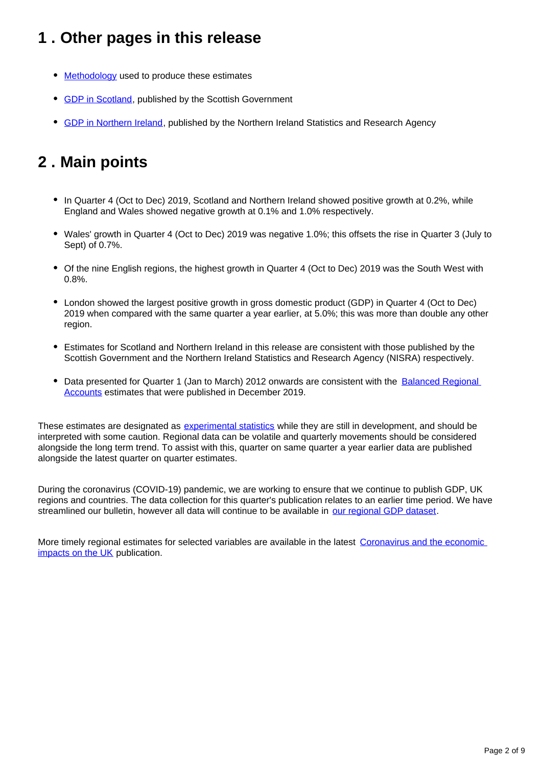## <span id="page-1-0"></span>**1 . Other pages in this release**

- [Methodology](http://www.ons.gov.uk/economy/grossdomesticproductgdp/methodologies/introducinggdpforthecountriesoftheukandtheregionsofengland) used to produce these estimates
- [GDP in Scotland](https://www.gov.scot/publications/gdp-quarterly-national-accounts-for-scotland-2019-q4/), published by the Scottish Government
- **GDP** in Northern Ireland, published by the Northern Ireland Statistics and Research Agency

## <span id="page-1-1"></span>**2 . Main points**

- In Quarter 4 (Oct to Dec) 2019, Scotland and Northern Ireland showed positive growth at 0.2%, while England and Wales showed negative growth at 0.1% and 1.0% respectively.
- Wales' growth in Quarter 4 (Oct to Dec) 2019 was negative 1.0%; this offsets the rise in Quarter 3 (July to Sept) of 0.7%.
- Of the nine English regions, the highest growth in Quarter 4 (Oct to Dec) 2019 was the South West with 0.8%.
- London showed the largest positive growth in gross domestic product (GDP) in Quarter 4 (Oct to Dec) 2019 when compared with the same quarter a year earlier, at 5.0%; this was more than double any other region.
- Estimates for Scotland and Northern Ireland in this release are consistent with those published by the Scottish Government and the Northern Ireland Statistics and Research Agency (NISRA) respectively.
- Data presented for Quarter 1 (Jan to March) 2012 onwards are consistent with the Balanced Regional [Accounts](https://www.ons.gov.uk/releases/regionaleconomicactivitybygrossdomesticproductuk1998to2018) estimates that were published in December 2019.

These estimates are designated as [experimental statistics](https://www.ons.gov.uk/methodology/methodologytopicsandstatisticalconcepts/guidetoexperimentalstatistics) while they are still in development, and should be interpreted with some caution. Regional data can be volatile and quarterly movements should be considered alongside the long term trend. To assist with this, quarter on same quarter a year earlier data are published alongside the latest quarter on quarter estimates.

During the coronavirus (COVID-19) pandemic, we are working to ensure that we continue to publish GDP, UK regions and countries. The data collection for this quarter's publication relates to an earlier time period. We have streamlined our bulletin, however all data will continue to be available in [our regional GDP dataset.](https://www.ons.gov.uk/economy/grossdomesticproductgdp/datasets/quarterlycountryandregionalgdp)

More timely regional estimates for selected variables are available in the latest Coronavirus and the economic [impacts on the UK](https://www.ons.gov.uk/businessindustryandtrade/business/businessservices/bulletins/coronavirusandtheeconomicimpactsontheuk/latest) publication.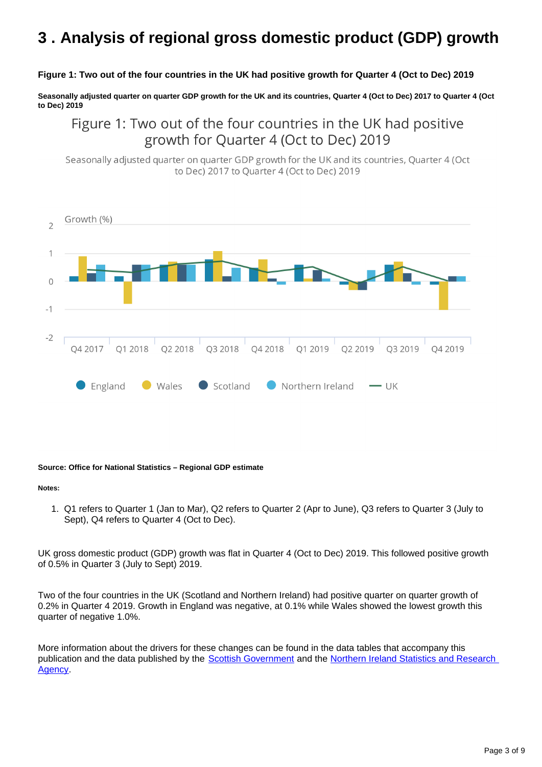## <span id="page-2-0"></span>**3 . Analysis of regional gross domestic product (GDP) growth**

#### **Figure 1: Two out of the four countries in the UK had positive growth for Quarter 4 (Oct to Dec) 2019**

**Seasonally adjusted quarter on quarter GDP growth for the UK and its countries, Quarter 4 (Oct to Dec) 2017 to Quarter 4 (Oct to Dec) 2019**

Figure 1: Two out of the four countries in the UK had positive growth for Quarter 4 (Oct to Dec) 2019

Seasonally adjusted quarter on quarter GDP growth for the UK and its countries, Quarter 4 (Oct to Dec) 2017 to Ouarter 4 (Oct to Dec) 2019



#### **Source: Office for National Statistics – Regional GDP estimate**

#### **Notes:**

1. Q1 refers to Quarter 1 (Jan to Mar), Q2 refers to Quarter 2 (Apr to June), Q3 refers to Quarter 3 (July to Sept), Q4 refers to Quarter 4 (Oct to Dec).

UK gross domestic product (GDP) growth was flat in Quarter 4 (Oct to Dec) 2019. This followed positive growth of 0.5% in Quarter 3 (July to Sept) 2019.

Two of the four countries in the UK (Scotland and Northern Ireland) had positive quarter on quarter growth of 0.2% in Quarter 4 2019. Growth in England was negative, at 0.1% while Wales showed the lowest growth this quarter of negative 1.0%.

More information about the drivers for these changes can be found in the data tables that accompany this publication and the data published by the [Scottish Government](https://www.gov.scot/publications/gdp-quarterly-national-accounts-for-scotland-2019-q4/) and the [Northern Ireland Statistics and Research](https://www.nisra.gov.uk/statistics/economic-output-statistics/ni-composite-economic-index)  [Agency.](https://www.nisra.gov.uk/statistics/economic-output-statistics/ni-composite-economic-index)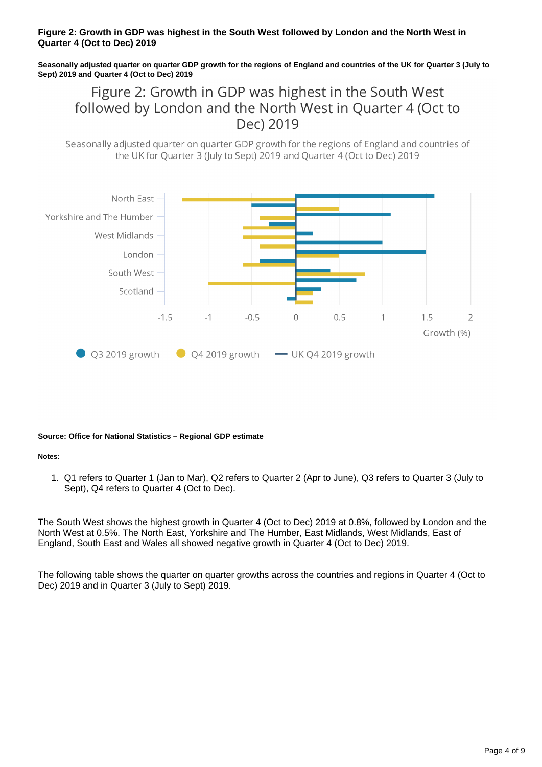#### **Figure 2: Growth in GDP was highest in the South West followed by London and the North West in Quarter 4 (Oct to Dec) 2019**

**Seasonally adjusted quarter on quarter GDP growth for the regions of England and countries of the UK for Quarter 3 (July to Sept) 2019 and Quarter 4 (Oct to Dec) 2019**

Figure 2: Growth in GDP was highest in the South West followed by London and the North West in Quarter 4 (Oct to Dec) 2019

Seasonally adjusted quarter on quarter GDP growth for the regions of England and countries of the UK for Ouarter 3 (July to Sept) 2019 and Ouarter 4 (Oct to Dec) 2019



#### **Source: Office for National Statistics – Regional GDP estimate**

#### **Notes:**

1. Q1 refers to Quarter 1 (Jan to Mar), Q2 refers to Quarter 2 (Apr to June), Q3 refers to Quarter 3 (July to Sept), Q4 refers to Quarter 4 (Oct to Dec).

The South West shows the highest growth in Quarter 4 (Oct to Dec) 2019 at 0.8%, followed by London and the North West at 0.5%. The North East, Yorkshire and The Humber, East Midlands, West Midlands, East of England, South East and Wales all showed negative growth in Quarter 4 (Oct to Dec) 2019.

The following table shows the quarter on quarter growths across the countries and regions in Quarter 4 (Oct to Dec) 2019 and in Quarter 3 (July to Sept) 2019.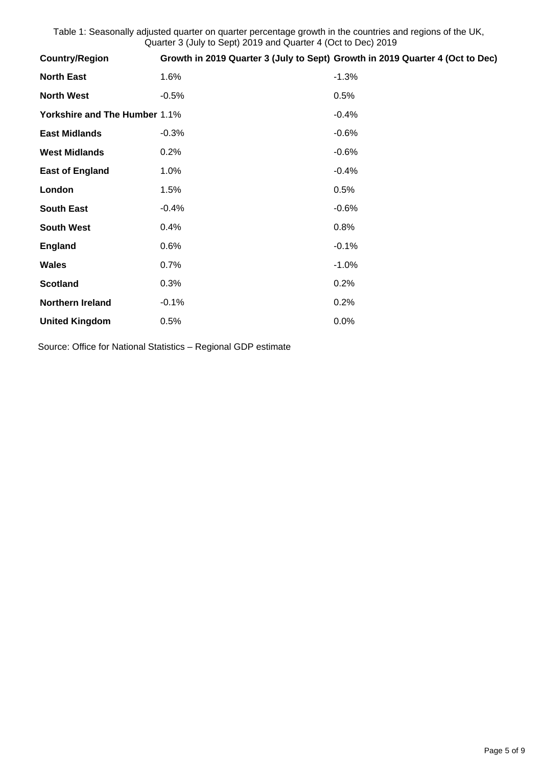Table 1: Seasonally adjusted quarter on quarter percentage growth in the countries and regions of the UK, Quarter 3 (July to Sept) 2019 and Quarter 4 (Oct to Dec) 2019

| <b>Country/Region</b>         | Growth in 2019 Quarter 3 (July to Sept) Growth in 2019 Quarter 4 (Oct to Dec) |         |
|-------------------------------|-------------------------------------------------------------------------------|---------|
| <b>North East</b>             | 1.6%                                                                          | $-1.3%$ |
| <b>North West</b>             | $-0.5%$                                                                       | 0.5%    |
| Yorkshire and The Humber 1.1% |                                                                               | $-0.4%$ |
| <b>East Midlands</b>          | $-0.3%$                                                                       | $-0.6%$ |
| <b>West Midlands</b>          | $0.2\%$                                                                       | $-0.6%$ |
| <b>East of England</b>        | 1.0%                                                                          | $-0.4%$ |
| London                        | 1.5%                                                                          | 0.5%    |
| <b>South East</b>             | $-0.4%$                                                                       | $-0.6%$ |
| <b>South West</b>             | 0.4%                                                                          | 0.8%    |
| <b>England</b>                | 0.6%                                                                          | $-0.1%$ |
| <b>Wales</b>                  | 0.7%                                                                          | $-1.0%$ |
| <b>Scotland</b>               | 0.3%                                                                          | 0.2%    |
| <b>Northern Ireland</b>       | $-0.1%$                                                                       | 0.2%    |
| <b>United Kingdom</b>         | 0.5%                                                                          | 0.0%    |

Source: Office for National Statistics – Regional GDP estimate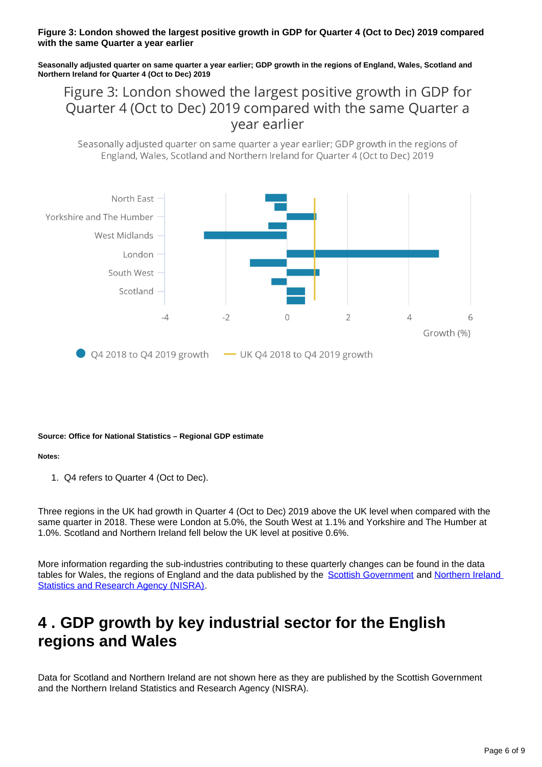#### **Figure 3: London showed the largest positive growth in GDP for Quarter 4 (Oct to Dec) 2019 compared with the same Quarter a year earlier**

**Seasonally adjusted quarter on same quarter a year earlier; GDP growth in the regions of England, Wales, Scotland and Northern Ireland for Quarter 4 (Oct to Dec) 2019**

Figure 3: London showed the largest positive growth in GDP for Quarter 4 (Oct to Dec) 2019 compared with the same Quarter a vear earlier

Seasonally adjusted quarter on same quarter a year earlier; GDP growth in the regions of England, Wales, Scotland and Northern Ireland for Ouarter 4 (Oct to Dec) 2019



#### **Source: Office for National Statistics – Regional GDP estimate**

#### **Notes:**

1. Q4 refers to Quarter 4 (Oct to Dec).

Three regions in the UK had growth in Quarter 4 (Oct to Dec) 2019 above the UK level when compared with the same quarter in 2018. These were London at 5.0%, the South West at 1.1% and Yorkshire and The Humber at 1.0%. Scotland and Northern Ireland fell below the UK level at positive 0.6%.

More information regarding the sub-industries contributing to these quarterly changes can be found in the data tables for Wales, the regions of England and the data published by the [Scottish Government](https://www.gov.scot/publications/gdp-quarterly-national-accounts-for-scotland-2019-q4/) and Northern Ireland [Statistics and Research Agency \(NISRA\).](https://www.nisra.gov.uk/statistics/economic-output-statistics/ni-composite-economic-index)

## <span id="page-5-0"></span>**4 . GDP growth by key industrial sector for the English regions and Wales**

Data for Scotland and Northern Ireland are not shown here as they are published by the Scottish Government and the Northern Ireland Statistics and Research Agency (NISRA).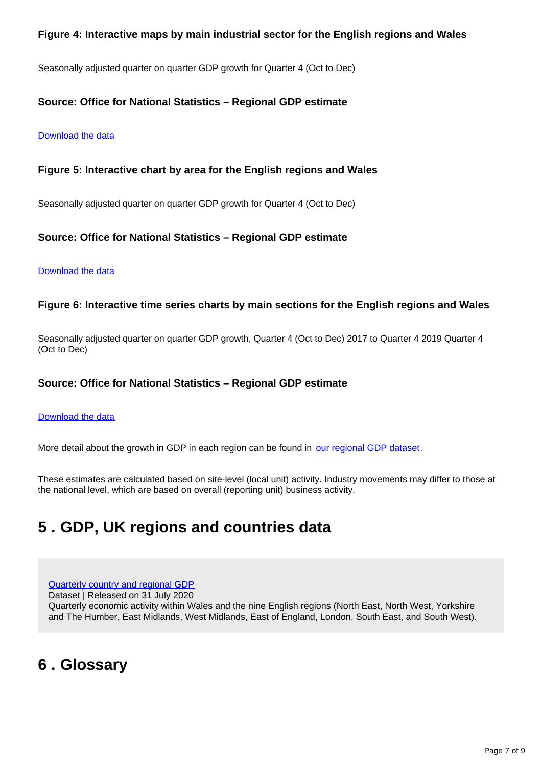#### **Figure 4: Interactive maps by main industrial sector for the English regions and Wales**

Seasonally adjusted quarter on quarter GDP growth for Quarter 4 (Oct to Dec)

#### **Source: Office for National Statistics – Regional GDP estimate**

#### [Download the data](https://www.ons.gov.uk/visualisations/dvc923/map/maps/datadownload.xlsx)

#### **Figure 5: Interactive chart by area for the English regions and Wales**

Seasonally adjusted quarter on quarter GDP growth for Quarter 4 (Oct to Dec)

#### **Source: Office for National Statistics – Regional GDP estimate**

#### [Download the data](https://www.ons.gov.uk/visualisations/dvc923/charts/all/datadownload.xlsx)

#### **Figure 6: Interactive time series charts by main sections for the English regions and Wales**

Seasonally adjusted quarter on quarter GDP growth, Quarter 4 (Oct to Dec) 2017 to Quarter 4 2019 Quarter 4 (Oct to Dec)

#### **Source: Office for National Statistics – Regional GDP estimate**

#### [Download the data](https://www.ons.gov.uk/visualisations/dvc923/multiline/ind_region/datadownload.xlsx)

More detail about the growth in GDP in each region can be found in [our regional GDP dataset.](https://www.ons.gov.uk/economy/grossdomesticproductgdp/datasets/quarterlycountryandregionalgdp)

These estimates are calculated based on site-level (local unit) activity. Industry movements may differ to those at the national level, which are based on overall (reporting unit) business activity.

### <span id="page-6-0"></span>**5 . GDP, UK regions and countries data**

[Quarterly country and regional GDP](https://publishing.ons.gov.uk/economy/grossdomesticproductgdp/datasets/quarterlycountryandregionalgdp)

Dataset | Released on 31 July 2020

Quarterly economic activity within Wales and the nine English regions (North East, North West, Yorkshire and The Humber, East Midlands, West Midlands, East of England, London, South East, and South West).

### <span id="page-6-1"></span>**6 . Glossary**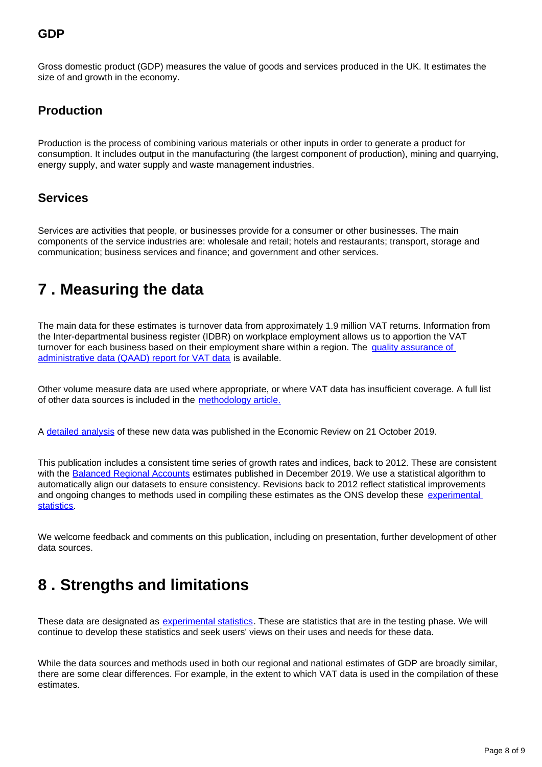### **GDP**

Gross domestic product (GDP) measures the value of goods and services produced in the UK. It estimates the size of and growth in the economy.

### **Production**

Production is the process of combining various materials or other inputs in order to generate a product for consumption. It includes output in the manufacturing (the largest component of production), mining and quarrying, energy supply, and water supply and waste management industries.

### **Services**

Services are activities that people, or businesses provide for a consumer or other businesses. The main components of the service industries are: wholesale and retail; hotels and restaurants; transport, storage and communication; business services and finance; and government and other services.

### <span id="page-7-0"></span>**7 . Measuring the data**

The main data for these estimates is turnover data from approximately 1.9 million VAT returns. Information from the Inter-departmental business register (IDBR) on workplace employment allows us to apportion the VAT turnover for each business based on their employment share within a region. The quality assurance of [administrative data \(QAAD\) report for VAT data](https://www.ons.gov.uk/economy/economicoutputandproductivity/output/methodologies/qualityassuranceofadministrativedataqaadreportforvalueaddedtaxturnoverdata) is available.

Other volume measure data are used where appropriate, or where VAT data has insufficient coverage. A full list of other data sources is included in the [methodology article.](https://www.ons.gov.uk/economy/grossdomesticproductgdp/methodologies/introducinggdpforthecountriesoftheukandtheregionsofengland)

A [detailed analysis](https://www.ons.gov.uk/economy/nationalaccounts/uksectoraccounts/compendium/economicreview/october2019) of these new data was published in the Economic Review on 21 October 2019.

This publication includes a consistent time series of growth rates and indices, back to 2012. These are consistent with the [Balanced Regional Accounts](https://www.ons.gov.uk/releases/regionaleconomicactivitybygrossdomesticproductuk1998to2018) estimates published in December 2019. We use a statistical algorithm to automatically align our datasets to ensure consistency. Revisions back to 2012 reflect statistical improvements and ongoing changes to methods used in compiling these estimates as the ONS develop these experimental [statistics.](https://www.ons.gov.uk/methodology/methodologytopicsandstatisticalconcepts/guidetoexperimentalstatistics)

We welcome feedback and comments on this publication, including on presentation, further development of other data sources.

### <span id="page-7-1"></span>**8 . Strengths and limitations**

These data are designated as [experimental statistics](https://www.ons.gov.uk/methodology/methodologytopicsandstatisticalconcepts/guidetoexperimentalstatistics). These are statistics that are in the testing phase. We will continue to develop these statistics and seek users' views on their uses and needs for these data.

While the data sources and methods used in both our regional and national estimates of GDP are broadly similar, there are some clear differences. For example, in the extent to which VAT data is used in the compilation of these estimates.